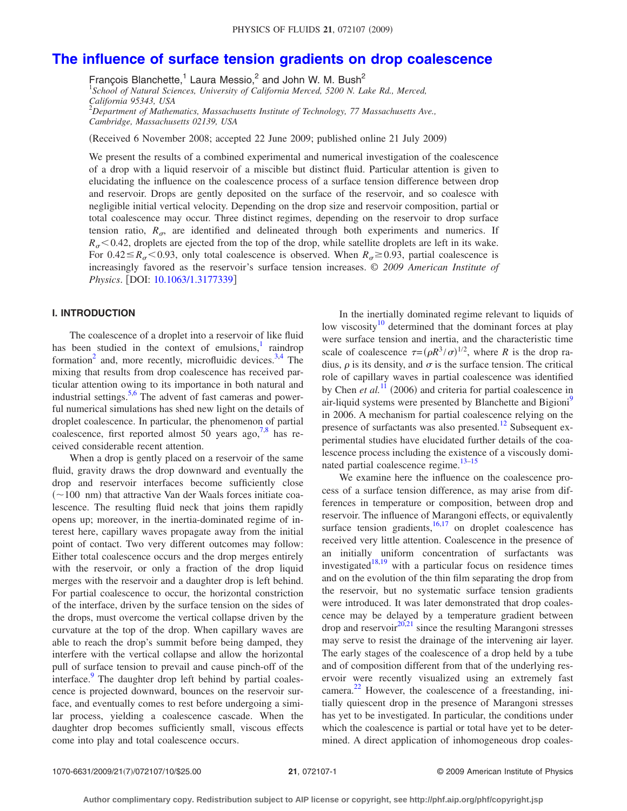# **[The influence of surface tension gradients on drop coalescence](http://dx.doi.org/10.1063/1.3177339)**

François Blanchette,<sup>1</sup> Laura Messio,<sup>2</sup> and John W. M. Bush<sup>2</sup> 1 *School of Natural Sciences, University of California Merced, 5200 N. Lake Rd., Merced, California 95343, USA* 2 *Department of Mathematics, Massachusetts Institute of Technology, 77 Massachusetts Ave., Cambridge, Massachusetts 02139, USA*

(Received 6 November 2008; accepted 22 June 2009; published online 21 July 2009)

We present the results of a combined experimental and numerical investigation of the coalescence of a drop with a liquid reservoir of a miscible but distinct fluid. Particular attention is given to elucidating the influence on the coalescence process of a surface tension difference between drop and reservoir. Drops are gently deposited on the surface of the reservoir, and so coalesce with negligible initial vertical velocity. Depending on the drop size and reservoir composition, partial or total coalescence may occur. Three distinct regimes, depending on the reservoir to drop surface tension ratio,  $R_{\sigma}$ , are identified and delineated through both experiments and numerics. If  $R_{\sigma}$  < 0.42, droplets are ejected from the top of the drop, while satellite droplets are left in its wake. For 0.42  $\leq R_{\sigma}$  < 0.93, only total coalescence is observed. When  $R_{\sigma} \geq 0.93$ , partial coalescence is increasingly favored as the reservoir's surface tension increases. © *2009 American Institute of Physics.* [DOI: [10.1063/1.3177339](http://dx.doi.org/10.1063/1.3177339)]

# **I. INTRODUCTION**

The coalescence of a droplet into a reservoir of like fluid has been studied in the context of emulsions, $\frac{1}{1}$  raindrop formation<sup>2</sup> and, more recently, microfluidic devices.<sup>3[,4](#page-8-3)</sup> The mixing that results from drop coalescence has received particular attention owing to its importance in both natural and industrial settings.<sup>5[,6](#page-8-5)</sup> The advent of fast cameras and powerful numerical simulations has shed new light on the details of droplet coalescence. In particular, the phenomenon of partial coalescence, first reported almost 50 years ago,  $7.8$  has received considerable recent attention.

When a drop is gently placed on a reservoir of the same fluid, gravity draws the drop downward and eventually the drop and reservoir interfaces become sufficiently close  $(\sim 100$  nm) that attractive Van der Waals forces initiate coalescence. The resulting fluid neck that joins them rapidly opens up; moreover, in the inertia-dominated regime of interest here, capillary waves propagate away from the initial point of contact. Two very different outcomes may follow: Either total coalescence occurs and the drop merges entirely with the reservoir, or only a fraction of the drop liquid merges with the reservoir and a daughter drop is left behind. For partial coalescence to occur, the horizontal constriction of the interface, driven by the surface tension on the sides of the drops, must overcome the vertical collapse driven by the curvature at the top of the drop. When capillary waves are able to reach the drop's summit before being damped, they interfere with the vertical collapse and allow the horizontal pull of surface tension to prevail and cause pinch-off of the interface.<sup>9</sup> The daughter drop left behind by partial coalescence is projected downward, bounces on the reservoir surface, and eventually comes to rest before undergoing a similar process, yielding a coalescence cascade. When the daughter drop becomes sufficiently small, viscous effects come into play and total coalescence occurs.

In the inertially dominated regime relevant to liquids of low viscosity $10$  determined that the dominant forces at play were surface tension and inertia, and the characteristic time scale of coalescence  $\tau = (\rho R^3 / \sigma)^{1/2}$ , where *R* is the drop radius,  $\rho$  is its density, and  $\sigma$  is the surface tension. The critical role of capillary waves in partial coalescence was identified by Chen *et al.*<sup>[11](#page-8-10)</sup> (2006) and criteria for partial coalescence in air-liquid systems were presented by Blanchette and Bigioni<sup>9</sup> in 2006. A mechanism for partial coalescence relying on the presence of surfactants was also presented.<sup>12</sup> Subsequent experimental studies have elucidated further details of the coalescence process including the existence of a viscously domi-nated partial coalescence regime.<sup>13[–15](#page-8-13)</sup>

We examine here the influence on the coalescence process of a surface tension difference, as may arise from differences in temperature or composition, between drop and reservoir. The influence of Marangoni effects, or equivalently surface tension gradients, $16,17$  $16,17$  on droplet coalescence has received very little attention. Coalescence in the presence of an initially uniform concentration of surfactants was investigated $18,19$  $18,19$  with a particular focus on residence times and on the evolution of the thin film separating the drop from the reservoir, but no systematic surface tension gradients were introduced. It was later demonstrated that drop coalescence may be delayed by a temperature gradient between drop and reservoir<sup>20[,21](#page-8-19)</sup> since the resulting Marangoni stresses may serve to resist the drainage of the intervening air layer. The early stages of the coalescence of a drop held by a tube and of composition different from that of the underlying reservoir were recently visualized using an extremely fast camera.<sup>[22](#page-8-20)</sup> However, the coalescence of a freestanding, initially quiescent drop in the presence of Marangoni stresses has yet to be investigated. In particular, the conditions under which the coalescence is partial or total have yet to be determined. A direct application of inhomogeneous drop coales-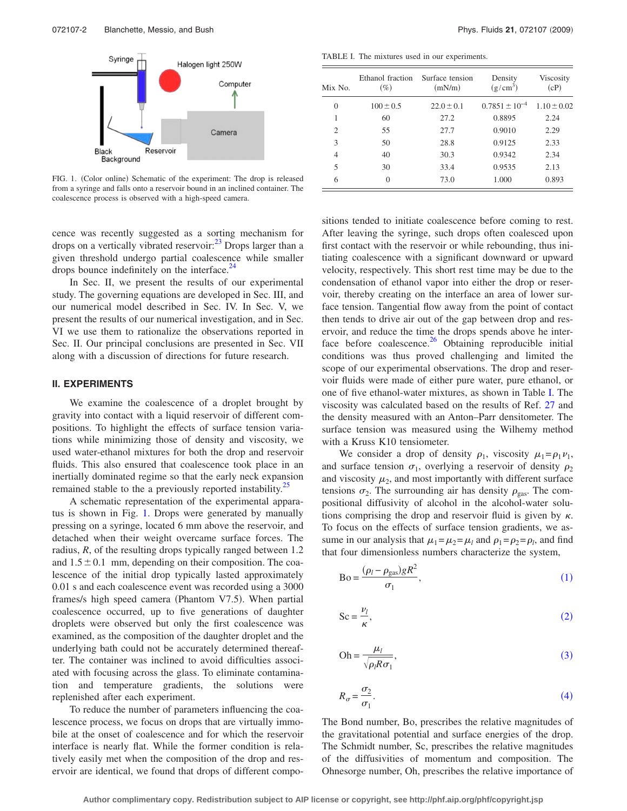<span id="page-1-0"></span>

FIG. 1. (Color online) Schematic of the experiment: The drop is released from a syringe and falls onto a reservoir bound in an inclined container. The coalescence process is observed with a high-speed camera.

cence was recently suggested as a sorting mechanism for drops on a vertically vibrated reservoir:<sup>23</sup> Drops larger than a given threshold undergo partial coalescence while smaller drops bounce indefinitely on the interface.<sup>24</sup>

In Sec. II, we present the results of our experimental study. The governing equations are developed in Sec. III, and our numerical model described in Sec. IV. In Sec. V, we present the results of our numerical investigation, and in Sec. VI we use them to rationalize the observations reported in Sec. II. Our principal conclusions are presented in Sec. VII along with a discussion of directions for future research.

#### **II. EXPERIMENTS**

We examine the coalescence of a droplet brought by gravity into contact with a liquid reservoir of different compositions. To highlight the effects of surface tension variations while minimizing those of density and viscosity, we used water-ethanol mixtures for both the drop and reservoir fluids. This also ensured that coalescence took place in an inertially dominated regime so that the early neck expansion remained stable to the a previously reported instability.<sup>25</sup>

A schematic representation of the experimental apparatus is shown in Fig. [1.](#page-1-0) Drops were generated by manually pressing on a syringe, located 6 mm above the reservoir, and detached when their weight overcame surface forces. The radius, *R*, of the resulting drops typically ranged between 1.2 and  $1.5\pm0.1$  mm, depending on their composition. The coalescence of the initial drop typically lasted approximately 0.01 s and each coalescence event was recorded using a 3000 frames/s high speed camera (Phantom V7.5). When partial coalescence occurred, up to five generations of daughter droplets were observed but only the first coalescence was examined, as the composition of the daughter droplet and the underlying bath could not be accurately determined thereafter. The container was inclined to avoid difficulties associated with focusing across the glass. To eliminate contamination and temperature gradients, the solutions were replenished after each experiment.

To reduce the number of parameters influencing the coalescence process, we focus on drops that are virtually immobile at the onset of coalescence and for which the reservoir interface is nearly flat. While the former condition is relatively easily met when the composition of the drop and reservoir are identical, we found that drops of different compo-

<span id="page-1-1"></span>TABLE I. The mixtures used in our experiments.

| Mix No.        | Ethanol fraction<br>$(\%)$ | Surface tension<br>(mN/m) | Density<br>$(g/cm^3)$ | Viscosity<br>(cP) |
|----------------|----------------------------|---------------------------|-----------------------|-------------------|
| $\theta$       | $100 \pm 0.5$              | $22.0 \pm 0.1$            | $0.7851 \pm 10^{-4}$  | $1.10 \pm 0.02$   |
| 1              | 60                         | 27.2                      | 0.8895                | 2.24              |
| $\overline{2}$ | 55                         | 27.7                      | 0.9010                | 2.29              |
| 3              | 50                         | 28.8                      | 0.9125                | 2.33              |
| $\overline{4}$ | 40                         | 30.3                      | 0.9342                | 2.34              |
| 5              | 30                         | 33.4                      | 0.9535                | 2.13              |
| 6              | $\theta$                   | 73.0                      | 1.000                 | 0.893             |

sitions tended to initiate coalescence before coming to rest. After leaving the syringe, such drops often coalesced upon first contact with the reservoir or while rebounding, thus initiating coalescence with a significant downward or upward velocity, respectively. This short rest time may be due to the condensation of ethanol vapor into either the drop or reservoir, thereby creating on the interface an area of lower surface tension. Tangential flow away from the point of contact then tends to drive air out of the gap between drop and reservoir, and reduce the time the drops spends above he interface before coalescence. $26$  Obtaining reproducible initial conditions was thus proved challenging and limited the scope of our experimental observations. The drop and reservoir fluids were made of either pure water, pure ethanol, or one of five ethanol-water mixtures, as shown in Table [I.](#page-1-1) The viscosity was calculated based on the results of Ref. [27](#page-8-25) and the density measured with an Anton–Parr densitometer. The surface tension was measured using the Wilhemy method with a Kruss K10 tensiometer.

We consider a drop of density  $\rho_1$ , viscosity  $\mu_1 = \rho_1 \nu_1$ , and surface tension  $\sigma_1$ , overlying a reservoir of density  $\rho_2$ and viscosity  $\mu_2$ , and most importantly with different surface tensions  $\sigma_2$ . The surrounding air has density  $\rho_{\text{gas}}$ . The compositional diffusivity of alcohol in the alcohol-water solutions comprising the drop and reservoir fluid is given by  $\kappa$ . To focus on the effects of surface tension gradients, we assume in our analysis that  $\mu_1 = \mu_2 = \mu_l$  and  $\rho_1 = \rho_2 = \rho_l$ , and find that four dimensionless numbers characterize the system,

<span id="page-1-2"></span>
$$
Bo = \frac{(\rho_l - \rho_{gas})gR^2}{\sigma_1},\tag{1}
$$

<span id="page-1-3"></span>
$$
Sc = \frac{\nu_l}{\kappa},\tag{2}
$$

<span id="page-1-4"></span>
$$
Oh = \frac{\mu_l}{\sqrt{\rho_l R \sigma_1}},\tag{3}
$$

<span id="page-1-5"></span>
$$
R_{\sigma} = \frac{\sigma_2}{\sigma_1}.
$$
 (4)

The Bond number, Bo, prescribes the relative magnitudes of the gravitational potential and surface energies of the drop. The Schmidt number, Sc, prescribes the relative magnitudes of the diffusivities of momentum and composition. The Ohnesorge number, Oh, prescribes the relative importance of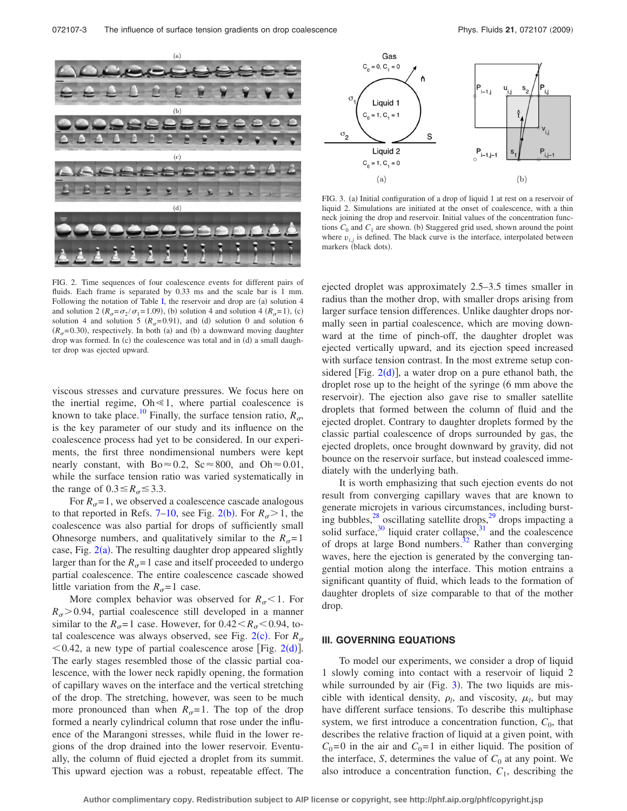<span id="page-2-0"></span>

Gas  $C_0 = 0, C_1 = 0$ ر<br>i–1,j Liquid 1  $C_0 = 1, C_1 = 1$  $\sigma$ <sub>2</sub> S Liquid 2  $P_{i-1,j-1}$  $C_0 = 1, C_1 = 0$ 

FIG. 3. (a) Initial configuration of a drop of liquid 1 at rest on a reservoir of liquid 2. Simulations are initiated at the onset of coalescence, with a thin neck joining the drop and reservoir. Initial values of the concentration functions  $C_0$  and  $C_1$  are shown. (b) Staggered grid used, shown around the point where  $v_{i,j}$  is defined. The black curve is the interface, interpolated between markers (black dots).

<span id="page-2-1"></span> $(a)$ 

FIG. 2. Time sequences of four coalescence events for different pairs of fluids. Each frame is separated by 0.33 ms and the scale bar is 1 mm. Following the notation of Table [I,](#page-1-1) the reservoir and drop are  $(a)$  solution 4 and solution 2  $(R_{\sigma} = \sigma_2 / \sigma_1 = 1.09)$ , (b) solution 4 and solution 4  $(R_{\sigma} = 1)$ , (c) solution 4 and solution 5 ( $R_{\sigma}$ =0.91), and (d) solution 0 and solution 6  $(R<sub>g</sub>=0.30)$ , respectively. In both (a) and (b) a downward moving daughter drop was formed. In (c) the coalescence was total and in (d) a small daughter drop was ejected upward.

viscous stresses and curvature pressures. We focus here on the inertial regime,  $Oh \le 1$ , where partial coalescence is known to take place.<sup>10</sup> Finally, the surface tension ratio,  $R_{\alpha}$ , is the key parameter of our study and its influence on the coalescence process had yet to be considered. In our experiments, the first three nondimensional numbers were kept nearly constant, with  $Bo \approx 0.2$ ,  $Sc \approx 800$ , and  $Oh \approx 0.01$ , while the surface tension ratio was varied systematically in the range of  $0.3 \le R_{\sigma} \le 3.3$ .

For  $R_{\sigma}$ =1, we observed a coalescence cascade analogous to that reported in Refs. [7–](#page-8-6)[10,](#page-8-9) see Fig. [2](#page-2-0)(b). For  $R_{\sigma}$  > 1, the coalescence was also partial for drops of sufficiently small Ohnesorge numbers, and qualitatively similar to the  $R_{\sigma}$ = 1 case, Fig.  $2(a)$  $2(a)$ . The resulting daughter drop appeared slightly larger than for the  $R_{\sigma}$ =1 case and itself proceeded to undergo partial coalescence. The entire coalescence cascade showed little variation from the  $R_{\sigma}$ = 1 case.

More complex behavior was observed for  $R_{\sigma}$  < 1. For  $R_{\sigma}$  > 0.94, partial coalescence still developed in a manner similar to the  $R_{\sigma}$ =1 case. However, for  $0.42 < R_{\sigma}$  < 0.94, total coalescence was always observed, see Fig.  $2(c)$  $2(c)$ . For  $R_{\sigma}$  $<$  0.4[2](#page-2-0), a new type of partial coalescence arose [Fig. 2(d)]. The early stages resembled those of the classic partial coalescence, with the lower neck rapidly opening, the formation of capillary waves on the interface and the vertical stretching of the drop. The stretching, however, was seen to be much more pronounced than when  $R_{\sigma}$ = 1. The top of the drop formed a nearly cylindrical column that rose under the influence of the Marangoni stresses, while fluid in the lower regions of the drop drained into the lower reservoir. Eventually, the column of fluid ejected a droplet from its summit. This upward ejection was a robust, repeatable effect. The ejected droplet was approximately 2.5–3.5 times smaller in radius than the mother drop, with smaller drops arising from larger surface tension differences. Unlike daughter drops normally seen in partial coalescence, which are moving downward at the time of pinch-off, the daughter droplet was ejected vertically upward, and its ejection speed increased with surface tension contrast. In the most extreme setup considered [Fig.  $2(d)$  $2(d)$ ], a water drop on a pure ethanol bath, the droplet rose up to the height of the syringe (6 mm above the reservoir). The ejection also gave rise to smaller satellite droplets that formed between the column of fluid and the ejected droplet. Contrary to daughter droplets formed by the classic partial coalescence of drops surrounded by gas, the ejected droplets, once brought downward by gravity, did not bounce on the reservoir surface, but instead coalesced immediately with the underlying bath.

It is worth emphasizing that such ejection events do not result from converging capillary waves that are known to generate microjets in various circumstances, including bursting bubbles, $^{28}$  oscillating satellite drops, $^{29}$  drops impacting a solid surface, $30$  liquid crater collapse, $31$  and the coalescence of drops at large Bond numbers.<sup>32</sup> Rather than converging waves, here the ejection is generated by the converging tangential motion along the interface. This motion entrains a significant quantity of fluid, which leads to the formation of daughter droplets of size comparable to that of the mother drop.

#### **III. GOVERNING EQUATIONS**

To model our experiments, we consider a drop of liquid 1 slowly coming into contact with a reservoir of liquid 2 while surrounded by air (Fig.  $3$ ). The two liquids are miscible with identical density,  $\rho_l$ , and viscosity,  $\mu_l$ , but may have different surface tensions. To describe this multiphase system, we first introduce a concentration function,  $C_0$ , that describes the relative fraction of liquid at a given point, with  $C_0$ =0 in the air and  $C_0$ =1 in either liquid. The position of the interface, *S*, determines the value of  $C_0$  at any point. We also introduce a concentration function,  $C_1$ , describing the

 $(b)$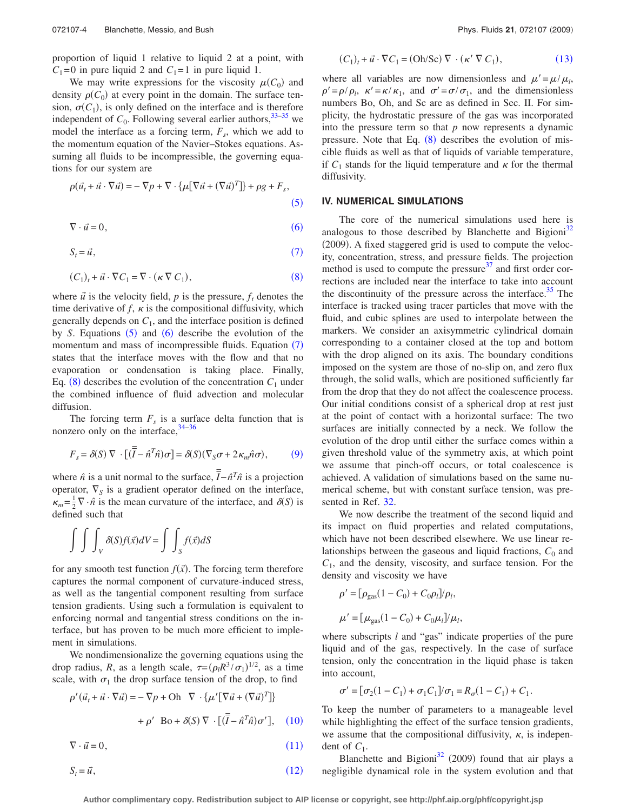proportion of liquid 1 relative to liquid 2 at a point, with  $C_1 = 0$  in pure liquid 2 and  $C_1 = 1$  in pure liquid 1.

We may write expressions for the viscosity  $\mu(C_0)$  and density  $\rho(C_0)$  at every point in the domain. The surface tension,  $\sigma(C_1)$ , is only defined on the interface and is therefore independent of  $C_0$ . Following several earlier authors,  $33-35$  $33-35$  we model the interface as a forcing term,  $F_s$ , which we add to the momentum equation of the Navier–Stokes equations. Assuming all fluids to be incompressible, the governing equations for our system are

<span id="page-3-0"></span>
$$
\rho(\vec{u}_t + \vec{u} \cdot \nabla \vec{u}) = -\nabla p + \nabla \cdot \{\mu[\nabla \vec{u} + (\nabla \vec{u})^T]\} + \rho g + F_s,
$$
\n(5)

<span id="page-3-1"></span>
$$
\nabla \cdot \vec{u} = 0,\tag{6}
$$

<span id="page-3-2"></span>
$$
S_t = \vec{u},\tag{7}
$$

<span id="page-3-3"></span>
$$
(C_1)_t + \vec{u} \cdot \nabla C_1 = \nabla \cdot (\kappa \nabla C_1), \tag{8}
$$

where  $\vec{u}$  is the velocity field,  $p$  is the pressure,  $f_t$  denotes the time derivative of  $f$ ,  $\kappa$  is the compositional diffusivity, which generally depends on  $C_1$ , and the interface position is defined by *S*. Equations  $(5)$  $(5)$  $(5)$  and  $(6)$  $(6)$  $(6)$  describe the evolution of the momentum and mass of incompressible fluids. Equation ([7](#page-3-2)) states that the interface moves with the flow and that no evaporation or condensation is taking place. Finally, Eq.  $(8)$  $(8)$  $(8)$  describes the evolution of the concentration  $C_1$  under the combined influence of fluid advection and molecular diffusion.

The forcing term  $F<sub>s</sub>$  is a surface delta function that is nonzero only on the interface,  $34-36$  $34-36$ 

<span id="page-3-4"></span>
$$
F_s = \delta(S) \nabla \cdot [(\overline{\overline{I}} - \hat{n}^T \hat{n}) \sigma] = \delta(S) (\nabla_S \sigma + 2\kappa_m \hat{n} \sigma), \tag{9}
$$

where  $\hat{n}$  is a unit normal to the surface,  $\overline{\overline{I}} - \hat{n}^T \hat{n}$  is a projection operator,  $\nabla_S$  is a gradient operator defined on the interface,  $\kappa_m = \frac{1}{2} \nabla \cdot \hat{n}$  is the mean curvature of the interface, and  $\delta(S)$  is defined such that

$$
\int \int \int_{V} \delta(S) f(\vec{x}) dV = \int \int_{S} f(\vec{x}) dS
$$

for any smooth test function  $f(\vec{x})$ . The forcing term therefore captures the normal component of curvature-induced stress, as well as the tangential component resulting from surface tension gradients. Using such a formulation is equivalent to enforcing normal and tangential stress conditions on the interface, but has proven to be much more efficient to implement in simulations.

We nondimensionalize the governing equations using the drop radius, *R*, as a length scale,  $\tau = (\rho_l R^3 / \sigma_1)^{1/2}$ , as a time scale, with  $\sigma_1$  the drop surface tension of the drop, to find

<span id="page-3-5"></span>
$$
\rho'(\vec{u}_t + \vec{u} \cdot \nabla \vec{u}) = -\nabla p + \text{Oh } \nabla \cdot \{\mu' [\nabla \vec{u} + (\nabla \vec{u})^T] \} + \rho' \text{ Bo} + \delta(S) \nabla \cdot [(\overline{\overline{I}} - \hat{n}^T \hat{n}) \sigma'], \quad (10)
$$

<span id="page-3-6"></span> $\nabla \cdot \vec{u} = 0$ ,  $(11)$ 

<span id="page-3-7"></span>
$$
S_t = \vec{u},\tag{12}
$$

<span id="page-3-8"></span>
$$
(C_1)_t + \vec{u} \cdot \nabla C_1 = (\text{Oh/Sc}) \nabla \cdot (\kappa' \nabla C_1), \tag{13}
$$

where all variables are now dimensionless and  $\mu' = \mu / \mu_l$ ,  $\rho' = \rho/\rho_l$ ,  $\kappa' = \kappa/\kappa_1$ , and  $\sigma' = \sigma/\sigma_1$ , and the dimensionless numbers Bo, Oh, and Sc are as defined in Sec. II. For simplicity, the hydrostatic pressure of the gas was incorporated into the pressure term so that *p* now represents a dynamic pressure. Note that Eq.  $(8)$  $(8)$  $(8)$  describes the evolution of miscible fluids as well as that of liquids of variable temperature, if  $C_1$  stands for the liquid temperature and  $\kappa$  for the thermal diffusivity.

#### **IV. NUMERICAL SIMULATIONS**

The core of the numerical simulations used here is analogous to those described by Blanchette and Bigioni<sup>32</sup> (2009). A fixed staggered grid is used to compute the velocity, concentration, stress, and pressure fields. The projection method is used to compute the pressure $37$  and first order corrections are included near the interface to take into account the discontinuity of the pressure across the interface.<sup>35</sup> The interface is tracked using tracer particles that move with the fluid, and cubic splines are used to interpolate between the markers. We consider an axisymmetric cylindrical domain corresponding to a container closed at the top and bottom with the drop aligned on its axis. The boundary conditions imposed on the system are those of no-slip on, and zero flux through, the solid walls, which are positioned sufficiently far from the drop that they do not affect the coalescence process. Our initial conditions consist of a spherical drop at rest just at the point of contact with a horizontal surface: The two surfaces are initially connected by a neck. We follow the evolution of the drop until either the surface comes within a given threshold value of the symmetry axis, at which point we assume that pinch-off occurs, or total coalescence is achieved. A validation of simulations based on the same numerical scheme, but with constant surface tension, was presented in Ref. [32.](#page-8-30)

We now describe the treatment of the second liquid and its impact on fluid properties and related computations, which have not been described elsewhere. We use linear relationships between the gaseous and liquid fractions,  $C_0$  and  $C_1$ , and the density, viscosity, and surface tension. For the density and viscosity we have

$$
\rho' = [\rho_{\text{gas}}(1 - C_0) + C_0 \rho_l] / \rho_l,
$$
  

$$
\mu' = [\mu_{\text{gas}}(1 - C_0) + C_0 \mu_l] / \mu_l,
$$

where subscripts *l* and "gas" indicate properties of the pure liquid and of the gas, respectively. In the case of surface tension, only the concentration in the liquid phase is taken into account,

$$
\sigma' = [\sigma_2(1 - C_1) + \sigma_1 C_1]/\sigma_1 = R_{\sigma}(1 - C_1) + C_1.
$$

To keep the number of parameters to a manageable level while highlighting the effect of the surface tension gradients, we assume that the compositional diffusivity,  $\kappa$ , is independent of  $C_1$ .

Blanchette and Bigioni<sup>32</sup> (2009) found that air plays a negligible dynamical role in the system evolution and that

**Author complimentary copy. Redistribution subject to AIP license or copyright, see http://phf.aip.org/phf/copyright.jsp**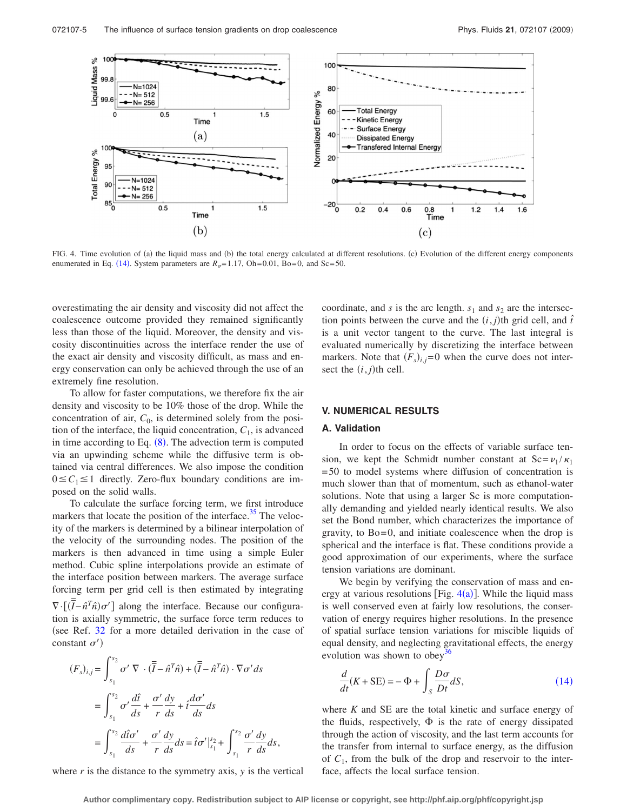<span id="page-4-0"></span>

FIG. 4. Time evolution of (a) the liquid mass and (b) the total energy calculated at different resolutions. (c) Evolution of the different energy components enumerated in Eq. ([14](#page-4-1)). System parameters are  $R_{\sigma}$ = 1.17, Oh= 0.01, Bo= 0, and Sc= 50.

overestimating the air density and viscosity did not affect the coalescence outcome provided they remained significantly less than those of the liquid. Moreover, the density and viscosity discontinuities across the interface render the use of the exact air density and viscosity difficult, as mass and energy conservation can only be achieved through the use of an extremely fine resolution.

To allow for faster computations, we therefore fix the air density and viscosity to be 10% those of the drop. While the concentration of air,  $C_0$ , is determined solely from the position of the interface, the liquid concentration,  $C_1$ , is advanced in time according to Eq.  $(8)$  $(8)$  $(8)$ . The advection term is computed via an upwinding scheme while the diffusive term is obtained via central differences. We also impose the condition  $0 \leq C_1 \leq 1$  directly. Zero-flux boundary conditions are imposed on the solid walls.

To calculate the surface forcing term, we first introduce markers that locate the position of the interface.<sup>35</sup> The velocity of the markers is determined by a bilinear interpolation of the velocity of the surrounding nodes. The position of the markers is then advanced in time using a simple Euler method. Cubic spline interpolations provide an estimate of the interface position between markers. The average surface forcing term per grid cell is then estimated by integrating  $\nabla \cdot [(\overline{I} - \hat{n}^T \hat{n}) \sigma']$  along the interface. Because our configuration is axially symmetric, the surface force term reduces to (see Ref. [32](#page-8-30) for a more detailed derivation in the case of constant  $\sigma'$ )

$$
(F_s)_{i,j} = \int_{s_1}^{s_2} \sigma' \nabla \cdot (\overline{\overline{I}} - \hat{n}^T \hat{n}) + (\overline{\overline{I}} - \hat{n}^T \hat{n}) \cdot \nabla \sigma' ds
$$
  

$$
= \int_{s_1}^{s_2} \sigma' \frac{d\hat{t}}{ds} + \frac{\sigma'}{r} \frac{dy}{ds} + \hat{t} \frac{d\sigma'}{ds} ds
$$
  

$$
= \int_{s_1}^{s_2} \frac{d\hat{t}\sigma'}{ds} + \frac{\sigma'}{r} \frac{dy}{ds} ds = \hat{t}\sigma' \Big|_{s_1}^{s_2} + \int_{s_1}^{s_2} \frac{\sigma'}{r} \frac{dy}{ds} ds,
$$

where *r* is the distance to the symmetry axis, *y* is the vertical

coordinate, and  $s$  is the arc length.  $s_1$  and  $s_2$  are the intersection points between the curve and the  $(i, j)$ <sup>th</sup> grid cell, and  $\hat{t}$ is a unit vector tangent to the curve. The last integral is evaluated numerically by discretizing the interface between markers. Note that  $(F_s)_{i,j}=0$  when the curve does not intersect the  $(i, j)$ <sup>th</sup> cell.

# **V. NUMERICAL RESULTS**

## **A. Validation**

In order to focus on the effects of variable surface tension, we kept the Schmidt number constant at  $Sc = \frac{v_1}{\kappa_1}$ = 50 to model systems where diffusion of concentration is much slower than that of momentum, such as ethanol-water solutions. Note that using a larger Sc is more computationally demanding and yielded nearly identical results. We also set the Bond number, which characterizes the importance of gravity, to  $Bo = 0$ , and initiate coalescence when the drop is spherical and the interface is flat. These conditions provide a good approximation of our experiments, where the surface tension variations are dominant.

We begin by verifying the conservation of mass and energy at various resolutions [Fig.  $4(a)$  $4(a)$ ]. While the liquid mass is well conserved even at fairly low resolutions, the conservation of energy requires higher resolutions. In the presence of spatial surface tension variations for miscible liquids of equal density, and neglecting gravitational effects, the energy evolution was shown to obey<sup>3</sup>

<span id="page-4-1"></span>
$$
\frac{d}{dt}(K + \text{SE}) = -\Phi + \int_{S} \frac{D\sigma}{Dt} dS,\tag{14}
$$

where *K* and SE are the total kinetic and surface energy of the fluids, respectively,  $\Phi$  is the rate of energy dissipated through the action of viscosity, and the last term accounts for the transfer from internal to surface energy, as the diffusion of  $C_1$ , from the bulk of the drop and reservoir to the interface, affects the local surface tension.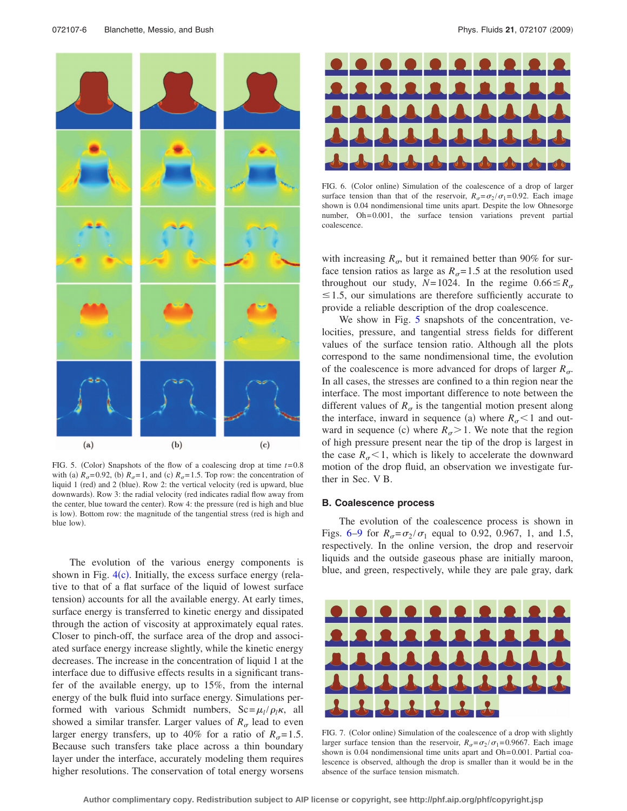<span id="page-5-0"></span>

FIG. 5. (Color) Snapshots of the flow of a coalescing drop at time  $t = 0.8$ with (a)  $R_{\sigma}$ =0.92, (b)  $R_{\sigma}$ =1, and (c)  $R_{\sigma}$ =1.5. Top row: the concentration of liquid 1 (red) and 2 (blue). Row 2: the vertical velocity (red is upward, blue downwards). Row 3: the radial velocity (red indicates radial flow away from the center, blue toward the center). Row 4: the pressure (red is high and blue is low). Bottom row: the magnitude of the tangential stress (red is high and blue low).

The evolution of the various energy components is shown in Fig.  $4(c)$  $4(c)$ . Initially, the excess surface energy (relative to that of a flat surface of the liquid of lowest surface tension) accounts for all the available energy. At early times, surface energy is transferred to kinetic energy and dissipated through the action of viscosity at approximately equal rates. Closer to pinch-off, the surface area of the drop and associated surface energy increase slightly, while the kinetic energy decreases. The increase in the concentration of liquid 1 at the interface due to diffusive effects results in a significant transfer of the available energy, up to 15%, from the internal energy of the bulk fluid into surface energy. Simulations performed with various Schmidt numbers,  $Sc = \mu_l / \rho_l \kappa$ , all showed a similar transfer. Larger values of  $R_{\sigma}$  lead to even larger energy transfers, up to 40% for a ratio of  $R_{\sigma}$ =1.5. Because such transfers take place across a thin boundary layer under the interface, accurately modeling them requires higher resolutions. The conservation of total energy worsens

<span id="page-5-1"></span>

FIG. 6. (Color online) Simulation of the coalescence of a drop of larger surface tension than that of the reservoir,  $R_{\sigma} = \sigma_2 / \sigma_1 = 0.92$ . Each image shown is 0.04 nondimensional time units apart. Despite the low Ohnesorge number, Oh= 0.001, the surface tension variations prevent partial coalescence.

with increasing  $R_{\sigma}$ , but it remained better than 90% for surface tension ratios as large as  $R_{\sigma}$ = 1.5 at the resolution used throughout our study,  $N=1024$ . In the regime  $0.66 \le R_{\sigma}$  $\leq$  1.5, our simulations are therefore sufficiently accurate to provide a reliable description of the drop coalescence.

We show in Fig. [5](#page-5-0) snapshots of the concentration, velocities, pressure, and tangential stress fields for different values of the surface tension ratio. Although all the plots correspond to the same nondimensional time, the evolution of the coalescence is more advanced for drops of larger  $R_{\sigma}$ . In all cases, the stresses are confined to a thin region near the interface. The most important difference to note between the different values of  $R_{\sigma}$  is the tangential motion present along the interface, inward in sequence (a) where  $R_{\sigma}$  < 1 and outward in sequence (c) where  $R_{\sigma} > 1$ . We note that the region of high pressure present near the tip of the drop is largest in the case  $R_{\sigma}$ <1, which is likely to accelerate the downward motion of the drop fluid, an observation we investigate further in Sec. V B.

#### **B. Coalescence process**

The evolution of the coalescence process is shown in Figs. [6](#page-5-1)[–9](#page-6-0) for  $R_{\sigma} = \frac{\sigma_2}{\sigma_1}$  equal to 0.92, 0.967, 1, and 1.5, respectively. In the online version, the drop and reservoir liquids and the outside gaseous phase are initially maroon, blue, and green, respectively, while they are pale gray, dark

<span id="page-5-2"></span>

FIG. 7. (Color online) Simulation of the coalescence of a drop with slightly larger surface tension than the reservoir,  $R_{\sigma} = \frac{\sigma_2}{\sigma_1} = 0.9667$ . Each image shown is 0.04 nondimensional time units apart and Oh=0.001. Partial coalescence is observed, although the drop is smaller than it would be in the absence of the surface tension mismatch.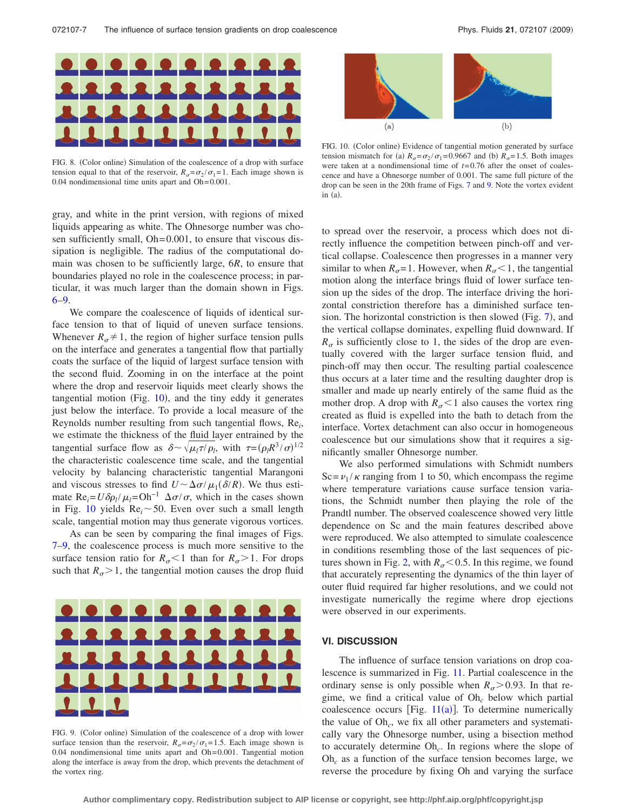

FIG. 8. (Color online) Simulation of the coalescence of a drop with surface tension equal to that of the reservoir,  $R_{\sigma} = \frac{\sigma_2}{\sigma_1} = 1$ . Each image shown is  $0.04$  nondimensional time units apart and  $Oh = 0.001$ .

<span id="page-6-1"></span>

FIG. 10. (Color online) Evidence of tangential motion generated by surface tension mismatch for (a)  $R_{\sigma} = \frac{\sigma_2}{\sigma_1} = 0.9667$  and (b)  $R_{\sigma} = 1.5$ . Both images were taken at a nondimensional time of *t*= 0.76 after the onset of coalescence and have a Ohnesorge number of 0.001. The same full picture of the drop can be seen in the 20th frame of Figs. [7](#page-5-2) and [9.](#page-6-0) Note the vortex evident in  $(a)$ .

gray, and white in the print version, with regions of mixed liquids appearing as white. The Ohnesorge number was chosen sufficiently small, Oh=0.001, to ensure that viscous dissipation is negligible. The radius of the computational domain was chosen to be sufficiently large, 6*R*, to ensure that boundaries played no role in the coalescence process; in particular, it was much larger than the domain shown in Figs. [6](#page-5-1)[–9.](#page-6-0)

We compare the coalescence of liquids of identical surface tension to that of liquid of uneven surface tensions. Whenever  $R_{\sigma} \neq 1$ , the region of higher surface tension pulls on the interface and generates a tangential flow that partially coats the surface of the liquid of largest surface tension with the second fluid. Zooming in on the interface at the point where the drop and reservoir liquids meet clearly shows the tangential motion (Fig.  $10$ ), and the tiny eddy it generates just below the interface. To provide a local measure of the Reynolds number resulting from such tangential flows, Re*<sup>i</sup>* , we estimate the thickness of the fluid layer entrained by the tangential surface flow as  $\delta \sim \sqrt{\mu_1 \tau / \rho_1}$ , with  $\tau = (\rho_1 R^3 / \sigma)^{1/2}$ the characteristic coalescence time scale, and the tangential velocity by balancing characteristic tangential Marangoni and viscous stresses to find  $U \sim \Delta \sigma / \mu_1(\delta/R)$ . We thus estimate  $\text{Re}_i = U \delta \rho_l / \mu_l = \text{Oh}^{-1} \Delta \sigma / \sigma$ , which in the cases shown in Fig. [10](#page-6-1) yields  $Re_i \sim 50$ . Even over such a small length scale, tangential motion may thus generate vigorous vortices.

As can be seen by comparing the final images of Figs. [7](#page-5-2)[–9,](#page-6-0) the coalescence process is much more sensitive to the surface tension ratio for  $R_{\sigma}$  < 1 than for  $R_{\sigma}$  > 1. For drops such that  $R_{\sigma} > 1$ , the tangential motion causes the drop fluid

<span id="page-6-0"></span>

FIG. 9. (Color online) Simulation of the coalescence of a drop with lower surface tension than the reservoir,  $R_{\sigma} = \frac{\sigma_2}{\sigma_1} = 1.5$ . Each image shown is  $0.04$  nondimensional time units apart and  $Oh = 0.001$ . Tangential motion along the interface is away from the drop, which prevents the detachment of the vortex ring.

to spread over the reservoir, a process which does not directly influence the competition between pinch-off and vertical collapse. Coalescence then progresses in a manner very similar to when  $R_{\sigma} = 1$ . However, when  $R_{\sigma} < 1$ , the tangential motion along the interface brings fluid of lower surface tension up the sides of the drop. The interface driving the horizontal constriction therefore has a diminished surface tension. The horizontal constriction is then slowed (Fig.  $7$ ), and the vertical collapse dominates, expelling fluid downward. If  $R_{\sigma}$  is sufficiently close to 1, the sides of the drop are eventually covered with the larger surface tension fluid, and pinch-off may then occur. The resulting partial coalescence thus occurs at a later time and the resulting daughter drop is smaller and made up nearly entirely of the same fluid as the mother drop. A drop with  $R_{\sigma}$  < 1 also causes the vortex ring created as fluid is expelled into the bath to detach from the interface. Vortex detachment can also occur in homogeneous coalescence but our simulations show that it requires a significantly smaller Ohnesorge number.

We also performed simulations with Schmidt numbers  $Sc = v_1 / \kappa$  ranging from 1 to 50, which encompass the regime where temperature variations cause surface tension variations, the Schmidt number then playing the role of the Prandtl number. The observed coalescence showed very little dependence on Sc and the main features described above were reproduced. We also attempted to simulate coalescence in conditions resembling those of the last sequences of pic-tures shown in Fig. [2,](#page-2-0) with  $R_{\sigma}$  < 0.5. In this regime, we found that accurately representing the dynamics of the thin layer of outer fluid required far higher resolutions, and we could not investigate numerically the regime where drop ejections were observed in our experiments.

#### **VI. DISCUSSION**

The influence of surface tension variations on drop coalescence is summarized in Fig. [11.](#page-7-0) Partial coalescence in the ordinary sense is only possible when  $R_{\sigma}$  > 0.93. In that regime, we find a critical value of Oh*<sup>c</sup>* below which partial coalescence occurs [Fig.  $11(a)$  $11(a)$ ]. To determine numerically the value of Oh*c*, we fix all other parameters and systematically vary the Ohnesorge number, using a bisection method to accurately determine Oh*c*. In regions where the slope of Oh*<sup>c</sup>* as a function of the surface tension becomes large, we reverse the procedure by fixing Oh and varying the surface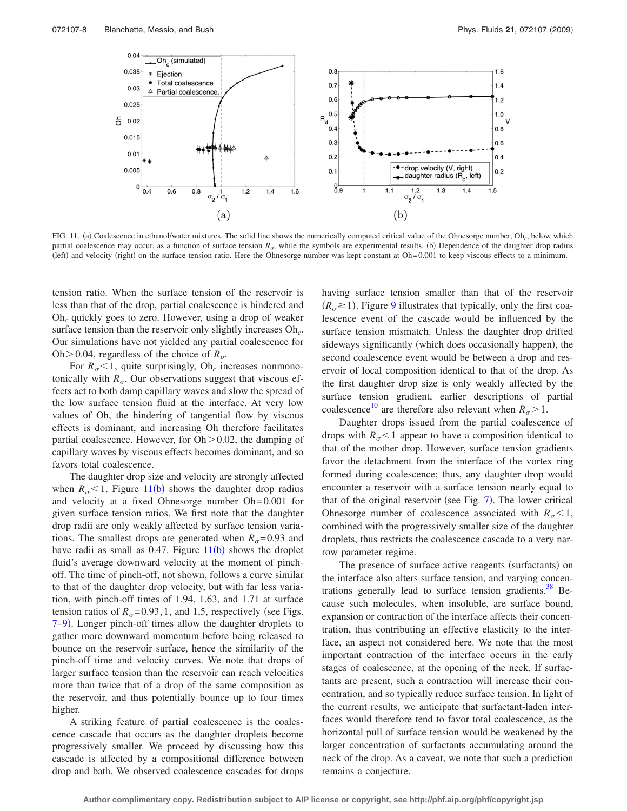<span id="page-7-0"></span>

FIG. 11. (a) Coalescence in ethanol/water mixtures. The solid line shows the numerically computed critical value of the Ohnesorge number, Oh<sub>c</sub>, below which partial coalescence may occur, as a function of surface tension  $R_{\sigma}$ , while the symbols are experimental results. (b) Dependence of the daughter drop radius (left) and velocity (right) on the surface tension ratio. Here the Ohnesorge number was kept constant at Oh= 0.001 to keep viscous effects to a minimum.

tension ratio. When the surface tension of the reservoir is less than that of the drop, partial coalescence is hindered and Oh*<sup>c</sup>* quickly goes to zero. However, using a drop of weaker surface tension than the reservoir only slightly increases Oh*c*. Our simulations have not yielded any partial coalescence for Oh > 0.04, regardless of the choice of  $R_{\sigma}$ .

For  $R_{\sigma}$  < 1, quite surprisingly, Oh<sub>c</sub> increases nonmonotonically with  $R_{\sigma}$ . Our observations suggest that viscous effects act to both damp capillary waves and slow the spread of the low surface tension fluid at the interface. At very low values of Oh, the hindering of tangential flow by viscous effects is dominant, and increasing Oh therefore facilitates partial coalescence. However, for  $Oh > 0.02$ , the damping of capillary waves by viscous effects becomes dominant, and so favors total coalescence.

The daughter drop size and velocity are strongly affected when  $R_{\sigma}$  < 1. Figure [11](#page-7-0)(b) shows the daughter drop radius and velocity at a fixed Ohnesorge number Oh= 0.001 for given surface tension ratios. We first note that the daughter drop radii are only weakly affected by surface tension variations. The smallest drops are generated when  $R_{\sigma}= 0.93$  and have radii as small as  $0.47$ . Figure  $11(b)$  $11(b)$  shows the droplet fluid's average downward velocity at the moment of pinchoff. The time of pinch-off, not shown, follows a curve similar to that of the daughter drop velocity, but with far less variation, with pinch-off times of 1.94, 1.63, and 1.71 at surface tension ratios of  $R_{\sigma}$ =0.93, 1, and 1,5, respectively (see Figs. [7](#page-5-2)-9). Longer pinch-off times allow the daughter droplets to gather more downward momentum before being released to bounce on the reservoir surface, hence the similarity of the pinch-off time and velocity curves. We note that drops of larger surface tension than the reservoir can reach velocities more than twice that of a drop of the same composition as the reservoir, and thus potentially bounce up to four times higher.

A striking feature of partial coalescence is the coalescence cascade that occurs as the daughter droplets become progressively smaller. We proceed by discussing how this cascade is affected by a compositional difference between drop and bath. We observed coalescence cascades for drops having surface tension smaller than that of the reservoir  $(R<sub>\sigma</sub> \ge 1)$ . Figure [9](#page-6-0) illustrates that typically, only the first coalescence event of the cascade would be influenced by the surface tension mismatch. Unless the daughter drop drifted sideways significantly (which does occasionally happen), the second coalescence event would be between a drop and reservoir of local composition identical to that of the drop. As the first daughter drop size is only weakly affected by the surface tension gradient, earlier descriptions of partial coalescence<sup>10</sup> are therefore also relevant when  $R_{\sigma} > 1$ .

Daughter drops issued from the partial coalescence of drops with  $R_{\sigma}$  < 1 appear to have a composition identical to that of the mother drop. However, surface tension gradients favor the detachment from the interface of the vortex ring formed during coalescence; thus, any daughter drop would encounter a reservoir with a surface tension nearly equal to that of the original reservoir (see Fig. [7](#page-5-2)). The lower critical Ohnesorge number of coalescence associated with  $R_{\sigma}$ <1, combined with the progressively smaller size of the daughter droplets, thus restricts the coalescence cascade to a very narrow parameter regime.

The presence of surface active reagents (surfactants) on the interface also alters surface tension, and varying concentrations generally lead to surface tension gradients. $38$  Because such molecules, when insoluble, are surface bound, expansion or contraction of the interface affects their concentration, thus contributing an effective elasticity to the interface, an aspect not considered here. We note that the most important contraction of the interface occurs in the early stages of coalescence, at the opening of the neck. If surfactants are present, such a contraction will increase their concentration, and so typically reduce surface tension. In light of the current results, we anticipate that surfactant-laden interfaces would therefore tend to favor total coalescence, as the horizontal pull of surface tension would be weakened by the larger concentration of surfactants accumulating around the neck of the drop. As a caveat, we note that such a prediction remains a conjecture.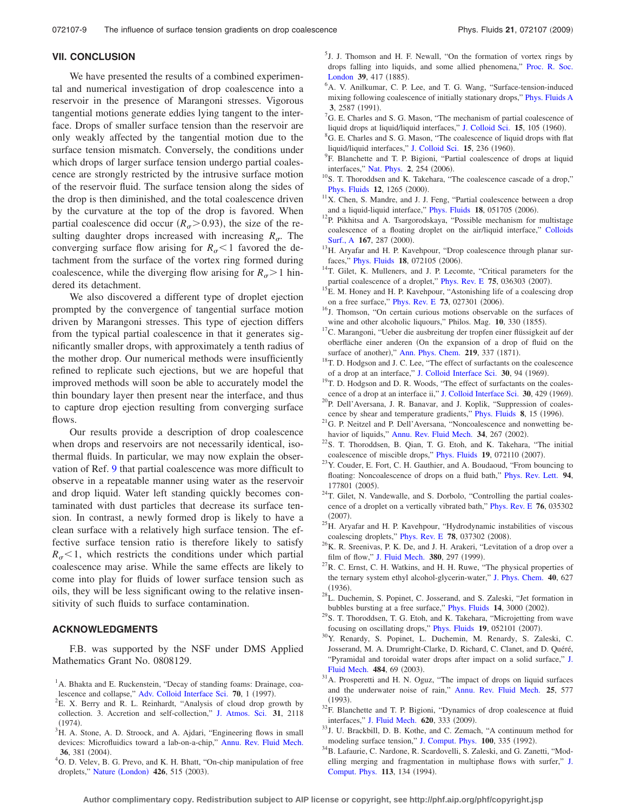# **VII. CONCLUSION**

We have presented the results of a combined experimental and numerical investigation of drop coalescence into a reservoir in the presence of Marangoni stresses. Vigorous tangential motions generate eddies lying tangent to the interface. Drops of smaller surface tension than the reservoir are only weakly affected by the tangential motion due to the surface tension mismatch. Conversely, the conditions under which drops of larger surface tension undergo partial coalescence are strongly restricted by the intrusive surface motion of the reservoir fluid. The surface tension along the sides of the drop is then diminished, and the total coalescence driven by the curvature at the top of the drop is favored. When partial coalescence did occur  $(R_{\sigma} > 0.93)$ , the size of the resulting daughter drops increased with increasing  $R_{\sigma}$ . The converging surface flow arising for  $R_{\sigma}$  < 1 favored the detachment from the surface of the vortex ring formed during coalescence, while the diverging flow arising for  $R_{\sigma} > 1$  hindered its detachment.

We also discovered a different type of droplet ejection prompted by the convergence of tangential surface motion driven by Marangoni stresses. This type of ejection differs from the typical partial coalescence in that it generates significantly smaller drops, with approximately a tenth radius of the mother drop. Our numerical methods were insufficiently refined to replicate such ejections, but we are hopeful that improved methods will soon be able to accurately model the thin boundary layer then present near the interface, and thus to capture drop ejection resulting from converging surface flows.

Our results provide a description of drop coalescence when drops and reservoirs are not necessarily identical, isothermal fluids. In particular, we may now explain the observation of Ref. [9](#page-8-8) that partial coalescence was more difficult to observe in a repeatable manner using water as the reservoir and drop liquid. Water left standing quickly becomes contaminated with dust particles that decrease its surface tension. In contrast, a newly formed drop is likely to have a clean surface with a relatively high surface tension. The effective surface tension ratio is therefore likely to satisfy  $R_{\sigma}$ <1, which restricts the conditions under which partial coalescence may arise. While the same effects are likely to come into play for fluids of lower surface tension such as oils, they will be less significant owing to the relative insensitivity of such fluids to surface contamination.

# **ACKNOWLEDGMENTS**

F.B. was supported by the NSF under DMS Applied Mathematics Grant No. 0808129.

- <span id="page-8-0"></span><sup>1</sup>A. Bhakta and E. Ruckenstein, "Decay of standing foams: Drainage, coa-lescence and collapse," [Adv. Colloid Interface Sci.](http://dx.doi.org/10.1016/S0001-8686(97)00031-6) **70**, 1 (1997).
- <span id="page-8-1"></span>E. X. Berry and R. L. Reinhardt, "Analysis of cloud drop growth by collection. 3. Accretion and self-collection," [J. Atmos. Sci.](http://dx.doi.org/10.1175/1520-0469(1974)031<2118:AAOCDG>2.0.CO;2) **31**, 2118  $^{(1974)}_{3}$
- <span id="page-8-2"></span><sup>3</sup>H. A. Stone, A. D. Stroock, and A. Ajdari, "Engineering flows in small devices: Microfluidics toward a lab-on-a-chip," [Annu. Rev. Fluid Mech.](http://dx.doi.org/10.1146/annurev.fluid.36.050802.122124) 36, 381  $(2004)$ .
- <span id="page-8-3"></span><sup>4</sup>O. D. Velev, B. G. Prevo, and K. H. Bhatt, "On-chip manipulation of free droplets," Nature ([London](http://dx.doi.org/10.1038/426515a)) 426, 515 (2003).

<span id="page-8-4"></span><sup>5</sup>J. J. Thomson and H. F. Newall, "On the formation of vortex rings by drops falling into liquids, and some allied phenomena," [Proc. R. Soc.](http://dx.doi.org/10.1098/rspl.1885.0034) [London](http://dx.doi.org/10.1098/rspl.1885.0034) 39, 417 (1885).

- <span id="page-8-5"></span><sup>6</sup>A. V. Anilkumar, C. P. Lee, and T. G. Wang, "Surface-tension-induced mixing following coalescence of initially stationary drops," [Phys. Fluids A](http://dx.doi.org/10.1063/1.858199) 3, 2587 (1991).
- <span id="page-8-6"></span> ${}^{7}$ G. E. Charles and S. G. Mason, "The mechanism of partial coalescence of liquid drops at liquid/liquid interfaces," [J. Colloid Sci.](http://dx.doi.org/10.1016/0095-8522(60)90012-X) 15, 105 (1960).
- <span id="page-8-7"></span><sup>8</sup>G. E. Charles and S. G. Mason, "The coalescence of liquid drops with flat liquid/liquid interfaces," [J. Colloid Sci.](http://dx.doi.org/10.1016/0095-8522(60)90026-X) 15, 236 (1960).
- <span id="page-8-8"></span><sup>9</sup>F. Blanchette and T. P. Bigioni, "Partial coalescence of drops at liquid interfaces," [Nat. Phys.](http://dx.doi.org/10.1038/nphys268) 2, 254 (2006).
- <span id="page-8-9"></span><sup>10</sup>S. T. Thoroddsen and K. Takehara, "The coalescence cascade of a drop," [Phys. Fluids](http://dx.doi.org/10.1063/1.870380) 12, 1265 (2000).
- <span id="page-8-10"></span> $11X$ . Chen, S. Mandre, and J. J. Feng, "Partial coalescence between a drop and a liquid-liquid interface," [Phys. Fluids](http://dx.doi.org/10.1063/1.2201470) 18, 051705 (2006).
- <span id="page-8-11"></span><sup>12</sup>P. Pikhitsa and A. Tsargorodskaya, "Possible mechanism for multistage coalescence of a floating droplet on the air/liquid interface," [Colloids](http://dx.doi.org/10.1016/S0927-7757(99)00516-6) [Surf., A](http://dx.doi.org/10.1016/S0927-7757(99)00516-6) 167, 287 (2000).
- <span id="page-8-12"></span>13H. Aryafar and H. P. Kavehpour, "Drop coalescence through planar sur-faces," [Phys. Fluids](http://dx.doi.org/10.1063/1.2227435) 18, 072105 (2006).
- <sup>14</sup>T. Gilet, K. Mulleners, and J. P. Lecomte, "Critical parameters for the partial coalescence of a droplet," [Phys. Rev. E](http://dx.doi.org/10.1103/PhysRevE.75.036303) 75, 036303 (2007).
- <span id="page-8-13"></span><sup>15</sup>E. M. Honey and H. P. Kavehpour, "Astonishing life of a coalescing drop on a free surface," [Phys. Rev. E](http://dx.doi.org/10.1103/PhysRevE.73.027301) 73, 027301 (2006).
- <span id="page-8-14"></span>16J. Thomson, "On certain curious motions observable on the surfaces of wine and other alcoholic liquours," Philos. Mag. 10, 330 (1855).
- <span id="page-8-15"></span><sup>17</sup>C. Marangoni, "Ueber die ausbreitung der tropfen einer flüssigkeit auf der oberfläche einer anderen On the expansion of a drop of fluid on the surface of another)," [Ann. Phys. Chem.](http://dx.doi.org/10.1002/andp.18712190702) 219, 337 (1871).
- <span id="page-8-16"></span>18T. D. Hodgson and J. C. Lee, "The effect of surfactants on the coalescence of a drop at an interface," [J. Colloid Interface Sci.](http://dx.doi.org/10.1016/0021-9797(69)90382-8) 30, 94 (1969).
- <span id="page-8-17"></span><sup>19</sup>T. D. Hodgson and D. R. Woods, "The effect of surfactants on the coales-cence of a drop at an interface ii," [J. Colloid Interface Sci.](http://dx.doi.org/10.1016/0021-9797(69)90414-7) 30, 429 (1969).
- <span id="page-8-18"></span><sup>20</sup>P. Dell'Aversana, J. R. Banavar, and J. Koplik, "Suppression of coales-cence by shear and temperature gradients," [Phys. Fluids](http://dx.doi.org/10.1063/1.868811) 8, 15 (1996).
- <span id="page-8-19"></span><sup>21</sup>G. P. Neitzel and P. Dell'Aversana, "Noncoalescence and nonwetting be-havior of liquids," [Annu. Rev. Fluid Mech.](http://dx.doi.org/10.1146/annurev.fluid.34.082701.154240) 34, 267 (2002).
- <span id="page-8-20"></span><sup>22</sup>S. T. Thoroddsen, B. Qian, T. G. Etoh, and K. Takehara, "The initial coalescence of miscible drops," [Phys. Fluids](http://dx.doi.org/10.1063/1.2746382) 19, 072110 (2007).
- <span id="page-8-21"></span><sup>23</sup>Y. Couder, E. Fort, C. H. Gauthier, and A. Boudaoud, "From bouncing to floating: Noncoalescence of drops on a fluid bath," [Phys. Rev. Lett.](http://dx.doi.org/10.1103/PhysRevLett.94.177801) **94**, 177801 (2005).
- <span id="page-8-22"></span><sup>24</sup>T. Gilet, N. Vandewalle, and S. Dorbolo, "Controlling the partial coalescence of a droplet on a vertically vibrated bath," [Phys. Rev. E](http://dx.doi.org/10.1103/PhysRevE.76.035302) **76**, 035302  $(2007).$
- <span id="page-8-23"></span><sup>25</sup>H. Aryafar and H. P. Kavehpour, "Hydrodynamic instabilities of viscous coalescing droplets," [Phys. Rev. E](http://dx.doi.org/10.1103/PhysRevE.78.037302) 78, 037302 (2008).
- <span id="page-8-24"></span> $^{26}$ K. R. Sreenivas, P. K. De, and J. H. Arakeri, "Levitation of a drop over a film of flow," [J. Fluid Mech.](http://dx.doi.org/10.1017/S0022112098003486) 380, 297 (1999).
- <span id="page-8-25"></span> $^{27}$ R. C. Ernst, C. H. Watkins, and H. H. Ruwe, "The physical properties of the ternary system ethyl alcohol-glycerin-water," [J. Phys. Chem.](http://dx.doi.org/10.1021/j150374a008) **40**, 627  $(1936)$ .
- <span id="page-8-26"></span><sup>28</sup>L. Duchemin, S. Popinet, C. Josserand, and S. Zaleski, "Jet formation in bubbles bursting at a free surface," [Phys. Fluids](http://dx.doi.org/10.1063/1.1494072) 14, 3000 (2002).
- <span id="page-8-27"></span><sup>29</sup>S. T. Thoroddsen, T. G. Etoh, and K. Takehara, "Microjetting from wave focusing on oscillating drops," [Phys. Fluids](http://dx.doi.org/10.1063/1.2718479) 19, 052101 (2007).
- <span id="page-8-28"></span>30Y. Renardy, S. Popinet, L. Duchemin, M. Renardy, S. Zaleski, C. Josserand, M. A. Drumright-Clarke, D. Richard, C. Clanet, and D. Quéré, "Pyramidal and toroidal water drops after impact on a solid surface," [J.](http://dx.doi.org/10.1017/S0022112003004142) [Fluid Mech.](http://dx.doi.org/10.1017/S0022112003004142) 484, 69 (2003).
- <span id="page-8-29"></span>31A. Prosperetti and H. N. Oguz, "The impact of drops on liquid surfaces and the underwater noise of rain," [Annu. Rev. Fluid Mech.](http://dx.doi.org/10.1146/annurev.fl.25.010193.003045) **25**, 577  $(1993).$
- <span id="page-8-30"></span><sup>32</sup>F. Blanchette and T. P. Bigioni, "Dynamics of drop coalescence at fluid interfaces," [J. Fluid Mech.](http://dx.doi.org/10.1017/S0022112008004801) 620, 333 (2009).
- <span id="page-8-31"></span>33J. U. Brackbill, D. B. Kothe, and C. Zemach, "A continuum method for modeling surface tension," [J. Comput. Phys.](http://dx.doi.org/10.1016/0021-9991(92)90240-Y) 100, 335 (1992).
- <span id="page-8-32"></span><sup>34</sup>B. Lafaurie, C. Nardone, R. Scardovelli, S. Zaleski, and G. Zanetti, "Modelling merging and fragmentation in multiphase flows with surfer," [J.](http://dx.doi.org/10.1006/jcph.1994.1123) [Comput. Phys.](http://dx.doi.org/10.1006/jcph.1994.1123) 113, 134 (1994).